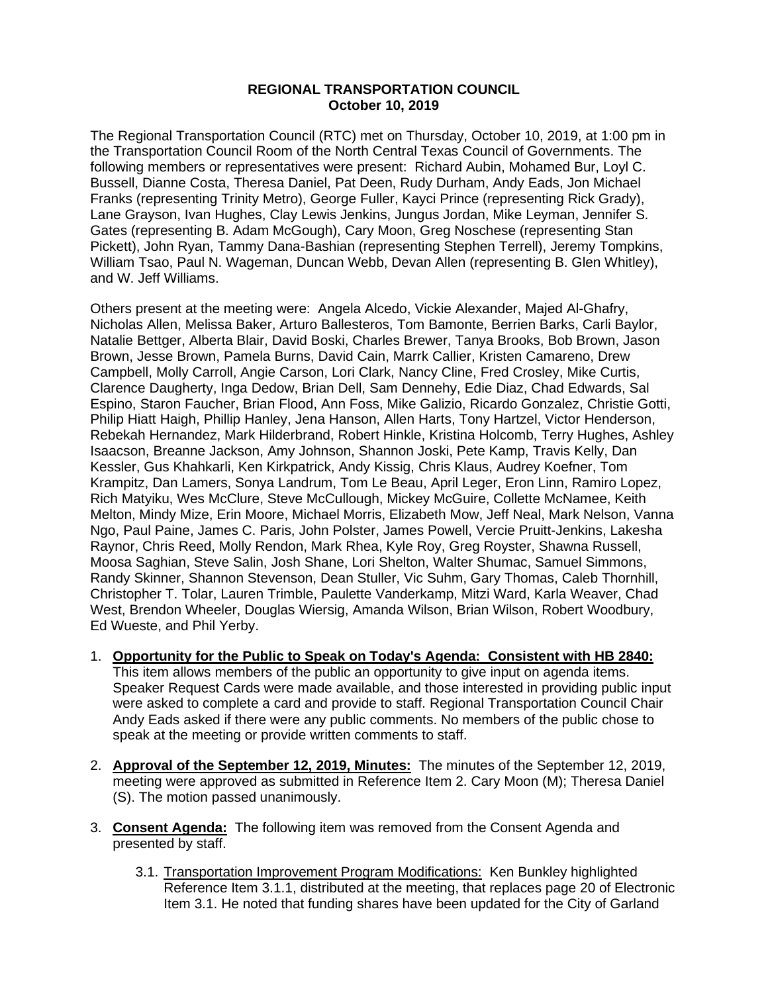## **REGIONAL TRANSPORTATION COUNCIL October 10, 2019**

The Regional Transportation Council (RTC) met on Thursday, October 10, 2019, at 1:00 pm in the Transportation Council Room of the North Central Texas Council of Governments. The following members or representatives were present: Richard Aubin, Mohamed Bur, Loyl C. Bussell, Dianne Costa, Theresa Daniel, Pat Deen, Rudy Durham, Andy Eads, Jon Michael Franks (representing Trinity Metro), George Fuller, Kayci Prince (representing Rick Grady), Lane Grayson, Ivan Hughes, Clay Lewis Jenkins, Jungus Jordan, Mike Leyman, Jennifer S. Gates (representing B. Adam McGough), Cary Moon, Greg Noschese (representing Stan Pickett), John Ryan, Tammy Dana-Bashian (representing Stephen Terrell), Jeremy Tompkins, William Tsao, Paul N. Wageman, Duncan Webb, Devan Allen (representing B. Glen Whitley), and W. Jeff Williams.

Others present at the meeting were: Angela Alcedo, Vickie Alexander, Majed Al-Ghafry, Nicholas Allen, Melissa Baker, Arturo Ballesteros, Tom Bamonte, Berrien Barks, Carli Baylor, Natalie Bettger, Alberta Blair, David Boski, Charles Brewer, Tanya Brooks, Bob Brown, Jason Brown, Jesse Brown, Pamela Burns, David Cain, Marrk Callier, Kristen Camareno, Drew Campbell, Molly Carroll, Angie Carson, Lori Clark, Nancy Cline, Fred Crosley, Mike Curtis, Clarence Daugherty, Inga Dedow, Brian Dell, Sam Dennehy, Edie Diaz, Chad Edwards, Sal Espino, Staron Faucher, Brian Flood, Ann Foss, Mike Galizio, Ricardo Gonzalez, Christie Gotti, Philip Hiatt Haigh, Phillip Hanley, Jena Hanson, Allen Harts, Tony Hartzel, Victor Henderson, Rebekah Hernandez, Mark Hilderbrand, Robert Hinkle, Kristina Holcomb, Terry Hughes, Ashley Isaacson, Breanne Jackson, Amy Johnson, Shannon Joski, Pete Kamp, Travis Kelly, Dan Kessler, Gus Khahkarli, Ken Kirkpatrick, Andy Kissig, Chris Klaus, Audrey Koefner, Tom Krampitz, Dan Lamers, Sonya Landrum, Tom Le Beau, April Leger, Eron Linn, Ramiro Lopez, Rich Matyiku, Wes McClure, Steve McCullough, Mickey McGuire, Collette McNamee, Keith Melton, Mindy Mize, Erin Moore, Michael Morris, Elizabeth Mow, Jeff Neal, Mark Nelson, Vanna Ngo, Paul Paine, James C. Paris, John Polster, James Powell, Vercie Pruitt-Jenkins, Lakesha Raynor, Chris Reed, Molly Rendon, Mark Rhea, Kyle Roy, Greg Royster, Shawna Russell, Moosa Saghian, Steve Salin, Josh Shane, Lori Shelton, Walter Shumac, Samuel Simmons, Randy Skinner, Shannon Stevenson, Dean Stuller, Vic Suhm, Gary Thomas, Caleb Thornhill, Christopher T. Tolar, Lauren Trimble, Paulette Vanderkamp, Mitzi Ward, Karla Weaver, Chad West, Brendon Wheeler, Douglas Wiersig, Amanda Wilson, Brian Wilson, Robert Woodbury, Ed Wueste, and Phil Yerby.

- 1. **Opportunity for the Public to Speak on Today's Agenda: Consistent with HB 2840:** This item allows members of the public an opportunity to give input on agenda items. Speaker Request Cards were made available, and those interested in providing public input were asked to complete a card and provide to staff. Regional Transportation Council Chair Andy Eads asked if there were any public comments. No members of the public chose to speak at the meeting or provide written comments to staff.
- 2. **Approval of the September 12, 2019, Minutes:** The minutes of the September 12, 2019, meeting were approved as submitted in Reference Item 2. Cary Moon (M); Theresa Daniel (S). The motion passed unanimously.
- 3. **Consent Agenda:** The following item was removed from the Consent Agenda and presented by staff.
	- 3.1. Transportation Improvement Program Modifications: Ken Bunkley highlighted Reference Item 3.1.1, distributed at the meeting, that replaces page 20 of Electronic Item 3.1. He noted that funding shares have been updated for the City of Garland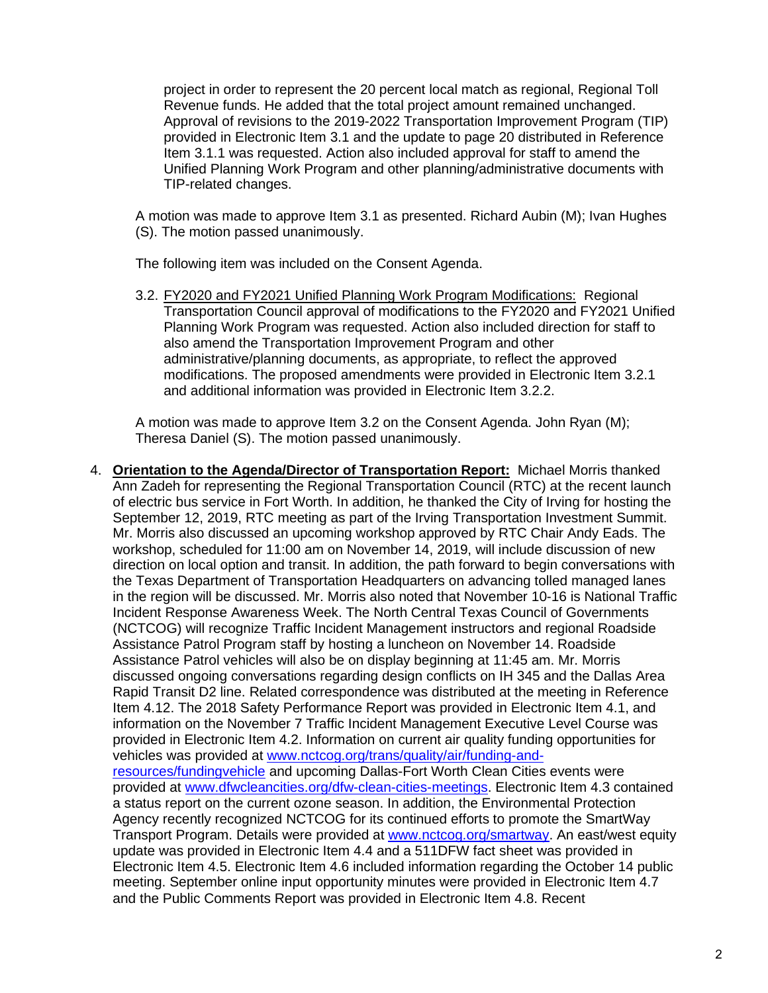project in order to represent the 20 percent local match as regional, Regional Toll Revenue funds. He added that the total project amount remained unchanged. Approval of revisions to the 2019-2022 Transportation Improvement Program (TIP) provided in Electronic Item 3.1 and the update to page 20 distributed in Reference Item 3.1.1 was requested. Action also included approval for staff to amend the Unified Planning Work Program and other planning/administrative documents with TIP-related changes.

A motion was made to approve Item 3.1 as presented. Richard Aubin (M); Ivan Hughes (S). The motion passed unanimously.

The following item was included on the Consent Agenda.

3.2. FY2020 and FY2021 Unified Planning Work Program Modifications: Regional Transportation Council approval of modifications to the FY2020 and FY2021 Unified Planning Work Program was requested. Action also included direction for staff to also amend the Transportation Improvement Program and other administrative/planning documents, as appropriate, to reflect the approved modifications. The proposed amendments were provided in Electronic Item 3.2.1 and additional information was provided in Electronic Item 3.2.2.

A motion was made to approve Item 3.2 on the Consent Agenda. John Ryan (M); Theresa Daniel (S). The motion passed unanimously.

4. **Orientation to the Agenda/Director of Transportation Report:** Michael Morris thanked Ann Zadeh for representing the Regional Transportation Council (RTC) at the recent launch of electric bus service in Fort Worth. In addition, he thanked the City of Irving for hosting the September 12, 2019, RTC meeting as part of the Irving Transportation Investment Summit. Mr. Morris also discussed an upcoming workshop approved by RTC Chair Andy Eads. The workshop, scheduled for 11:00 am on November 14, 2019, will include discussion of new direction on local option and transit. In addition, the path forward to begin conversations with the Texas Department of Transportation Headquarters on advancing tolled managed lanes in the region will be discussed. Mr. Morris also noted that November 10-16 is National Traffic Incident Response Awareness Week. The North Central Texas Council of Governments (NCTCOG) will recognize Traffic Incident Management instructors and regional Roadside Assistance Patrol Program staff by hosting a luncheon on November 14. Roadside Assistance Patrol vehicles will also be on display beginning at 11:45 am. Mr. Morris discussed ongoing conversations regarding design conflicts on IH 345 and the Dallas Area Rapid Transit D2 line. Related correspondence was distributed at the meeting in Reference Item 4.12. The 2018 Safety Performance Report was provided in Electronic Item 4.1, and information on the November 7 Traffic Incident Management Executive Level Course was provided in Electronic Item 4.2. Information on current air quality funding opportunities for vehicles was provided at [www.nctcog.org/trans/quality/air/funding-and](http://www.nctcog.org/trans/quality/air/funding-and-resources/fundingvehicle)[resources/fundingvehicle](http://www.nctcog.org/trans/quality/air/funding-and-resources/fundingvehicle) and upcoming Dallas-Fort Worth Clean Cities events were provided at [www.dfwcleancities.org/dfw-clean-cities-meetings.](http://www.dfwcleancities.org/dfw-clean-cities-meetings) Electronic Item 4.3 contained a status report on the current ozone season. In addition, the Environmental Protection Agency recently recognized NCTCOG for its continued efforts to promote the SmartWay Transport Program. Details were provided at [www.nctcog.org/smartway.](http://www.nctcog.org/smartway) An east/west equity update was provided in Electronic Item 4.4 and a 511DFW fact sheet was provided in Electronic Item 4.5. Electronic Item 4.6 included information regarding the October 14 public meeting. September online input opportunity minutes were provided in Electronic Item 4.7 and the Public Comments Report was provided in Electronic Item 4.8. Recent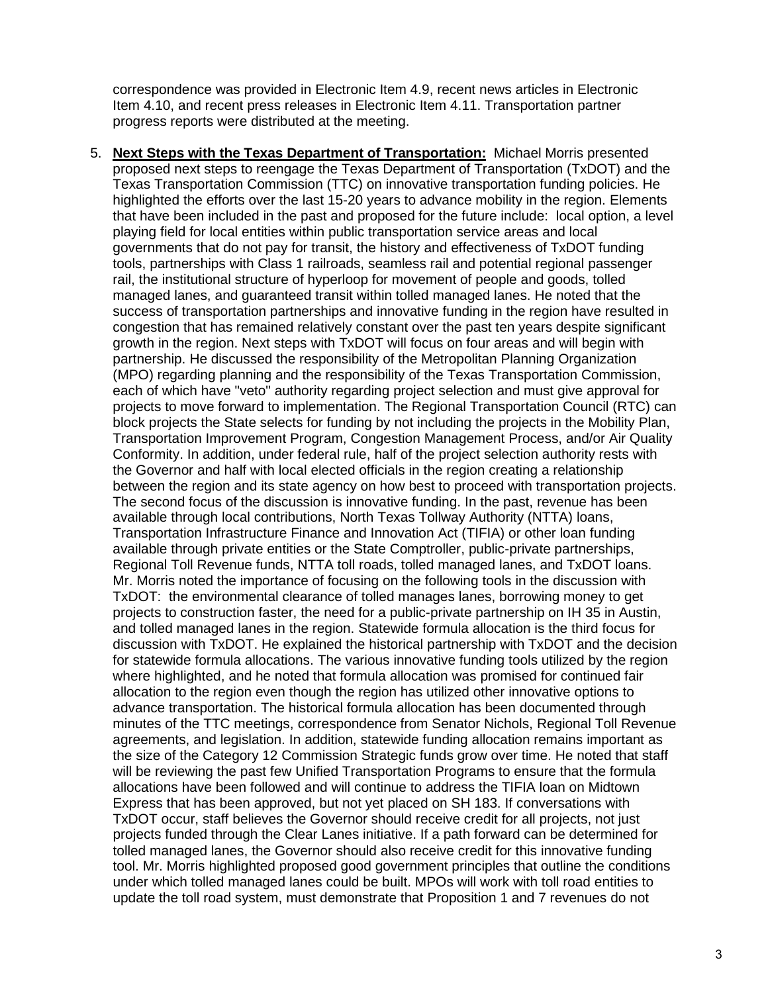correspondence was provided in Electronic Item 4.9, recent news articles in Electronic Item 4.10, and recent press releases in Electronic Item 4.11. Transportation partner progress reports were distributed at the meeting.

5. **Next Steps with the Texas Department of Transportation:** Michael Morris presented proposed next steps to reengage the Texas Department of Transportation (TxDOT) and the Texas Transportation Commission (TTC) on innovative transportation funding policies. He highlighted the efforts over the last 15-20 years to advance mobility in the region. Elements that have been included in the past and proposed for the future include: local option, a level playing field for local entities within public transportation service areas and local governments that do not pay for transit, the history and effectiveness of TxDOT funding tools, partnerships with Class 1 railroads, seamless rail and potential regional passenger rail, the institutional structure of hyperloop for movement of people and goods, tolled managed lanes, and guaranteed transit within tolled managed lanes. He noted that the success of transportation partnerships and innovative funding in the region have resulted in congestion that has remained relatively constant over the past ten years despite significant growth in the region. Next steps with TxDOT will focus on four areas and will begin with partnership. He discussed the responsibility of the Metropolitan Planning Organization (MPO) regarding planning and the responsibility of the Texas Transportation Commission, each of which have "veto" authority regarding project selection and must give approval for projects to move forward to implementation. The Regional Transportation Council (RTC) can block projects the State selects for funding by not including the projects in the Mobility Plan, Transportation Improvement Program, Congestion Management Process, and/or Air Quality Conformity. In addition, under federal rule, half of the project selection authority rests with the Governor and half with local elected officials in the region creating a relationship between the region and its state agency on how best to proceed with transportation projects. The second focus of the discussion is innovative funding. In the past, revenue has been available through local contributions, North Texas Tollway Authority (NTTA) loans, Transportation Infrastructure Finance and Innovation Act (TIFIA) or other loan funding available through private entities or the State Comptroller, public-private partnerships, Regional Toll Revenue funds, NTTA toll roads, tolled managed lanes, and TxDOT loans. Mr. Morris noted the importance of focusing on the following tools in the discussion with TxDOT: the environmental clearance of tolled manages lanes, borrowing money to get projects to construction faster, the need for a public-private partnership on IH 35 in Austin, and tolled managed lanes in the region. Statewide formula allocation is the third focus for discussion with TxDOT. He explained the historical partnership with TxDOT and the decision for statewide formula allocations. The various innovative funding tools utilized by the region where highlighted, and he noted that formula allocation was promised for continued fair allocation to the region even though the region has utilized other innovative options to advance transportation. The historical formula allocation has been documented through minutes of the TTC meetings, correspondence from Senator Nichols, Regional Toll Revenue agreements, and legislation. In addition, statewide funding allocation remains important as the size of the Category 12 Commission Strategic funds grow over time. He noted that staff will be reviewing the past few Unified Transportation Programs to ensure that the formula allocations have been followed and will continue to address the TIFIA loan on Midtown Express that has been approved, but not yet placed on SH 183. If conversations with TxDOT occur, staff believes the Governor should receive credit for all projects, not just projects funded through the Clear Lanes initiative. If a path forward can be determined for tolled managed lanes, the Governor should also receive credit for this innovative funding tool. Mr. Morris highlighted proposed good government principles that outline the conditions under which tolled managed lanes could be built. MPOs will work with toll road entities to update the toll road system, must demonstrate that Proposition 1 and 7 revenues do not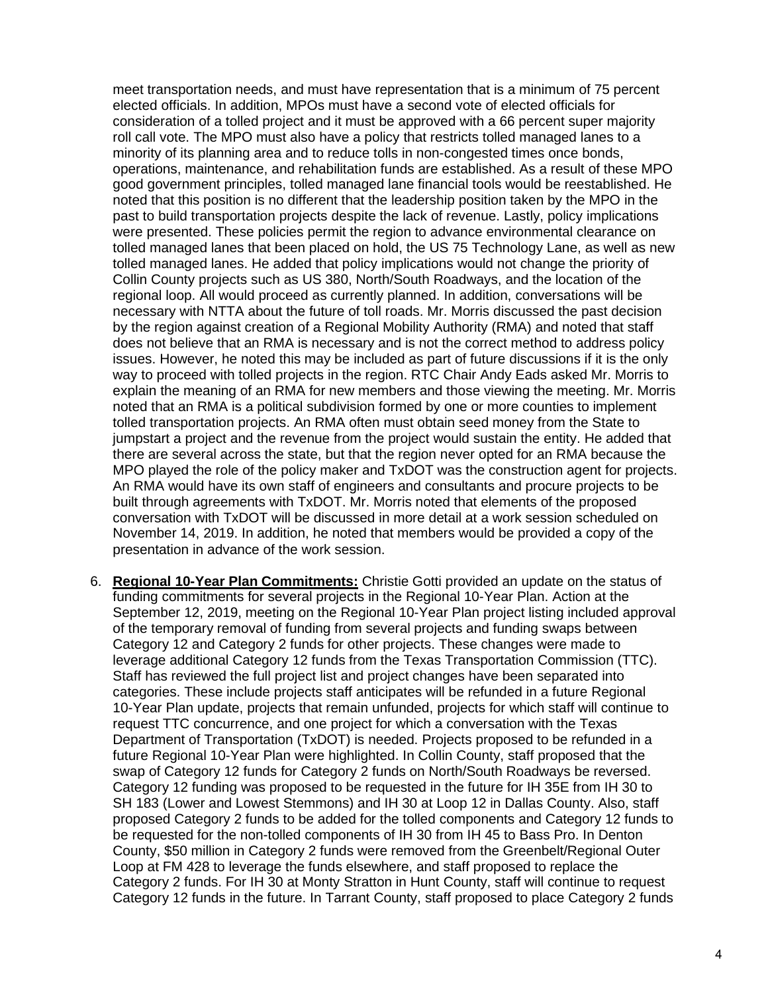meet transportation needs, and must have representation that is a minimum of 75 percent elected officials. In addition, MPOs must have a second vote of elected officials for consideration of a tolled project and it must be approved with a 66 percent super majority roll call vote. The MPO must also have a policy that restricts tolled managed lanes to a minority of its planning area and to reduce tolls in non-congested times once bonds, operations, maintenance, and rehabilitation funds are established. As a result of these MPO good government principles, tolled managed lane financial tools would be reestablished. He noted that this position is no different that the leadership position taken by the MPO in the past to build transportation projects despite the lack of revenue. Lastly, policy implications were presented. These policies permit the region to advance environmental clearance on tolled managed lanes that been placed on hold, the US 75 Technology Lane, as well as new tolled managed lanes. He added that policy implications would not change the priority of Collin County projects such as US 380, North/South Roadways, and the location of the regional loop. All would proceed as currently planned. In addition, conversations will be necessary with NTTA about the future of toll roads. Mr. Morris discussed the past decision by the region against creation of a Regional Mobility Authority (RMA) and noted that staff does not believe that an RMA is necessary and is not the correct method to address policy issues. However, he noted this may be included as part of future discussions if it is the only way to proceed with tolled projects in the region. RTC Chair Andy Eads asked Mr. Morris to explain the meaning of an RMA for new members and those viewing the meeting. Mr. Morris noted that an RMA is a political subdivision formed by one or more counties to implement tolled transportation projects. An RMA often must obtain seed money from the State to jumpstart a project and the revenue from the project would sustain the entity. He added that there are several across the state, but that the region never opted for an RMA because the MPO played the role of the policy maker and TxDOT was the construction agent for projects. An RMA would have its own staff of engineers and consultants and procure projects to be built through agreements with TxDOT. Mr. Morris noted that elements of the proposed conversation with TxDOT will be discussed in more detail at a work session scheduled on November 14, 2019. In addition, he noted that members would be provided a copy of the presentation in advance of the work session.

6. **Regional 10-Year Plan Commitments:** Christie Gotti provided an update on the status of funding commitments for several projects in the Regional 10-Year Plan. Action at the September 12, 2019, meeting on the Regional 10-Year Plan project listing included approval of the temporary removal of funding from several projects and funding swaps between Category 12 and Category 2 funds for other projects. These changes were made to leverage additional Category 12 funds from the Texas Transportation Commission (TTC). Staff has reviewed the full project list and project changes have been separated into categories. These include projects staff anticipates will be refunded in a future Regional 10-Year Plan update, projects that remain unfunded, projects for which staff will continue to request TTC concurrence, and one project for which a conversation with the Texas Department of Transportation (TxDOT) is needed. Projects proposed to be refunded in a future Regional 10-Year Plan were highlighted. In Collin County, staff proposed that the swap of Category 12 funds for Category 2 funds on North/South Roadways be reversed. Category 12 funding was proposed to be requested in the future for IH 35E from IH 30 to SH 183 (Lower and Lowest Stemmons) and IH 30 at Loop 12 in Dallas County. Also, staff proposed Category 2 funds to be added for the tolled components and Category 12 funds to be requested for the non-tolled components of IH 30 from IH 45 to Bass Pro. In Denton County, \$50 million in Category 2 funds were removed from the Greenbelt/Regional Outer Loop at FM 428 to leverage the funds elsewhere, and staff proposed to replace the Category 2 funds. For IH 30 at Monty Stratton in Hunt County, staff will continue to request Category 12 funds in the future. In Tarrant County, staff proposed to place Category 2 funds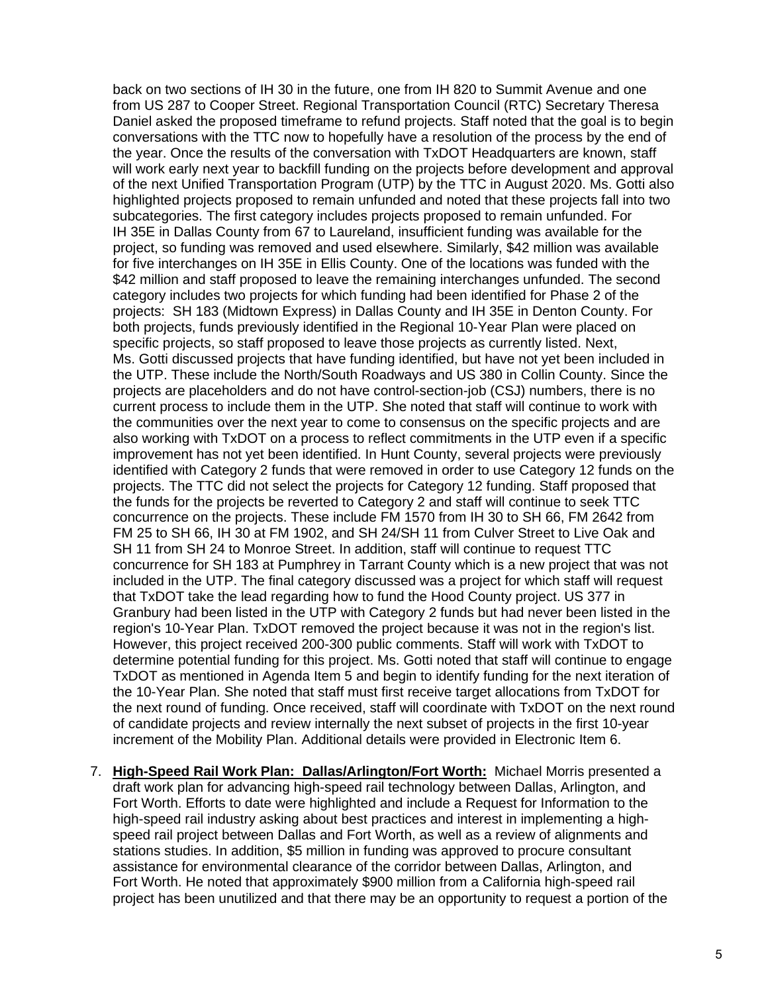back on two sections of IH 30 in the future, one from IH 820 to Summit Avenue and one from US 287 to Cooper Street. Regional Transportation Council (RTC) Secretary Theresa Daniel asked the proposed timeframe to refund projects. Staff noted that the goal is to begin conversations with the TTC now to hopefully have a resolution of the process by the end of the year. Once the results of the conversation with TxDOT Headquarters are known, staff will work early next year to backfill funding on the projects before development and approval of the next Unified Transportation Program (UTP) by the TTC in August 2020. Ms. Gotti also highlighted projects proposed to remain unfunded and noted that these projects fall into two subcategories. The first category includes projects proposed to remain unfunded. For IH 35E in Dallas County from 67 to Laureland, insufficient funding was available for the project, so funding was removed and used elsewhere. Similarly, \$42 million was available for five interchanges on IH 35E in Ellis County. One of the locations was funded with the \$42 million and staff proposed to leave the remaining interchanges unfunded. The second category includes two projects for which funding had been identified for Phase 2 of the projects: SH 183 (Midtown Express) in Dallas County and IH 35E in Denton County. For both projects, funds previously identified in the Regional 10-Year Plan were placed on specific projects, so staff proposed to leave those projects as currently listed. Next, Ms. Gotti discussed projects that have funding identified, but have not yet been included in the UTP. These include the North/South Roadways and US 380 in Collin County. Since the projects are placeholders and do not have control-section-job (CSJ) numbers, there is no current process to include them in the UTP. She noted that staff will continue to work with the communities over the next year to come to consensus on the specific projects and are also working with TxDOT on a process to reflect commitments in the UTP even if a specific improvement has not yet been identified. In Hunt County, several projects were previously identified with Category 2 funds that were removed in order to use Category 12 funds on the projects. The TTC did not select the projects for Category 12 funding. Staff proposed that the funds for the projects be reverted to Category 2 and staff will continue to seek TTC concurrence on the projects. These include FM 1570 from IH 30 to SH 66, FM 2642 from FM 25 to SH 66, IH 30 at FM 1902, and SH 24/SH 11 from Culver Street to Live Oak and SH 11 from SH 24 to Monroe Street. In addition, staff will continue to request TTC concurrence for SH 183 at Pumphrey in Tarrant County which is a new project that was not included in the UTP. The final category discussed was a project for which staff will request that TxDOT take the lead regarding how to fund the Hood County project. US 377 in Granbury had been listed in the UTP with Category 2 funds but had never been listed in the region's 10-Year Plan. TxDOT removed the project because it was not in the region's list. However, this project received 200-300 public comments. Staff will work with TxDOT to determine potential funding for this project. Ms. Gotti noted that staff will continue to engage TxDOT as mentioned in Agenda Item 5 and begin to identify funding for the next iteration of the 10-Year Plan. She noted that staff must first receive target allocations from TxDOT for the next round of funding. Once received, staff will coordinate with TxDOT on the next round of candidate projects and review internally the next subset of projects in the first 10-year increment of the Mobility Plan. Additional details were provided in Electronic Item 6.

7. **High-Speed Rail Work Plan: Dallas/Arlington/Fort Worth:** Michael Morris presented a draft work plan for advancing high-speed rail technology between Dallas, Arlington, and Fort Worth. Efforts to date were highlighted and include a Request for Information to the high-speed rail industry asking about best practices and interest in implementing a highspeed rail project between Dallas and Fort Worth, as well as a review of alignments and stations studies. In addition, \$5 million in funding was approved to procure consultant assistance for environmental clearance of the corridor between Dallas, Arlington, and Fort Worth. He noted that approximately \$900 million from a California high-speed rail project has been unutilized and that there may be an opportunity to request a portion of the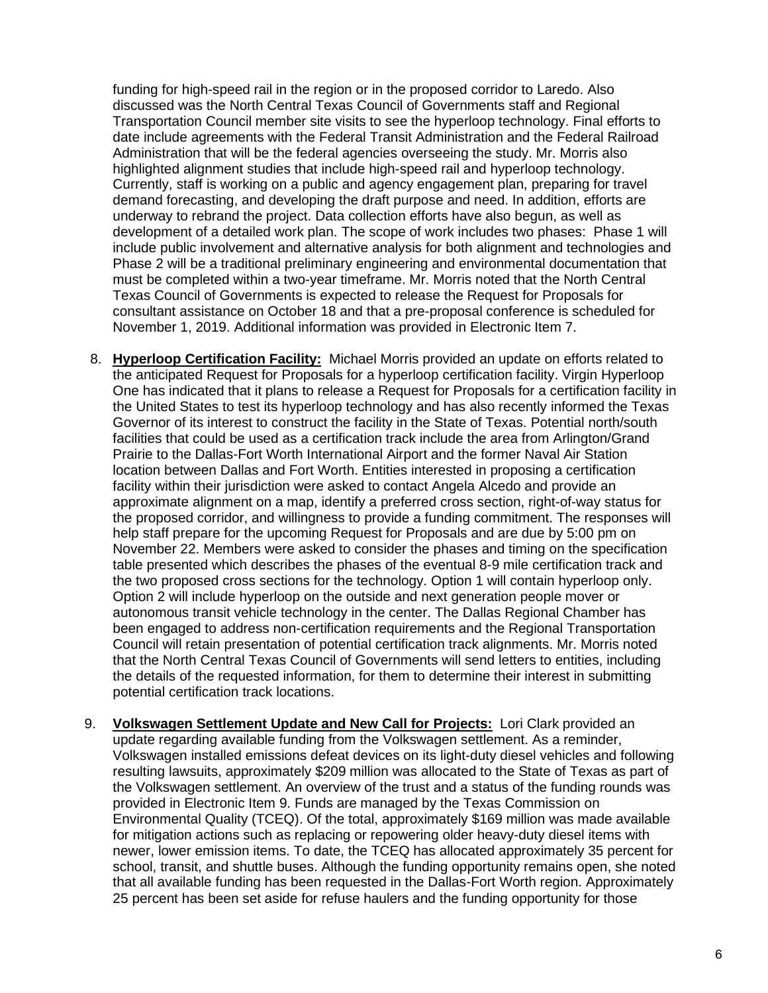funding for high-speed rail in the region or in the proposed corridor to Laredo. Also discussed was the North Central Texas Council of Governments staff and Regional Transportation Council member site visits to see the hyperloop technology. Final efforts to date include agreements with the Federal Transit Administration and the Federal Railroad Administration that will be the federal agencies overseeing the study. Mr. Morris also highlighted alignment studies that include high-speed rail and hyperloop technology. Currently, staff is working on a public and agency engagement plan, preparing for travel demand forecasting, and developing the draft purpose and need. In addition, efforts are underway to rebrand the project. Data collection efforts have also begun, as well as development of a detailed work plan. The scope of work includes two phases: Phase 1 will include public involvement and alternative analysis for both alignment and technologies and Phase 2 will be a traditional preliminary engineering and environmental documentation that must be completed within a two-year timeframe. Mr. Morris noted that the North Central Texas Council of Governments is expected to release the Request for Proposals for consultant assistance on October 18 and that a pre-proposal conference is scheduled for November 1, 2019. Additional information was provided in Electronic Item 7.

- 8. **Hyperloop Certification Facility:** Michael Morris provided an update on efforts related to the anticipated Request for Proposals for a hyperloop certification facility. Virgin Hyperloop One has indicated that it plans to release a Request for Proposals for a certification facility in the United States to test its hyperloop technology and has also recently informed the Texas Governor of its interest to construct the facility in the State of Texas. Potential north/south facilities that could be used as a certification track include the area from Arlington/Grand Prairie to the Dallas-Fort Worth International Airport and the former Naval Air Station location between Dallas and Fort Worth. Entities interested in proposing a certification facility within their jurisdiction were asked to contact Angela Alcedo and provide an approximate alignment on a map, identify a preferred cross section, right-of-way status for the proposed corridor, and willingness to provide a funding commitment. The responses will help staff prepare for the upcoming Request for Proposals and are due by 5:00 pm on November 22. Members were asked to consider the phases and timing on the specification table presented which describes the phases of the eventual 8-9 mile certification track and the two proposed cross sections for the technology. Option 1 will contain hyperloop only. Option 2 will include hyperloop on the outside and next generation people mover or autonomous transit vehicle technology in the center. The Dallas Regional Chamber has been engaged to address non-certification requirements and the Regional Transportation Council will retain presentation of potential certification track alignments. Mr. Morris noted that the North Central Texas Council of Governments will send letters to entities, including the details of the requested information, for them to determine their interest in submitting potential certification track locations.
- 9. **Volkswagen Settlement Update and New Call for Projects:** Lori Clark provided an update regarding available funding from the Volkswagen settlement. As a reminder, Volkswagen installed emissions defeat devices on its light-duty diesel vehicles and following resulting lawsuits, approximately \$209 million was allocated to the State of Texas as part of the Volkswagen settlement. An overview of the trust and a status of the funding rounds was provided in Electronic Item 9. Funds are managed by the Texas Commission on Environmental Quality (TCEQ). Of the total, approximately \$169 million was made available for mitigation actions such as replacing or repowering older heavy-duty diesel items with newer, lower emission items. To date, the TCEQ has allocated approximately 35 percent for school, transit, and shuttle buses. Although the funding opportunity remains open, she noted that all available funding has been requested in the Dallas-Fort Worth region. Approximately 25 percent has been set aside for refuse haulers and the funding opportunity for those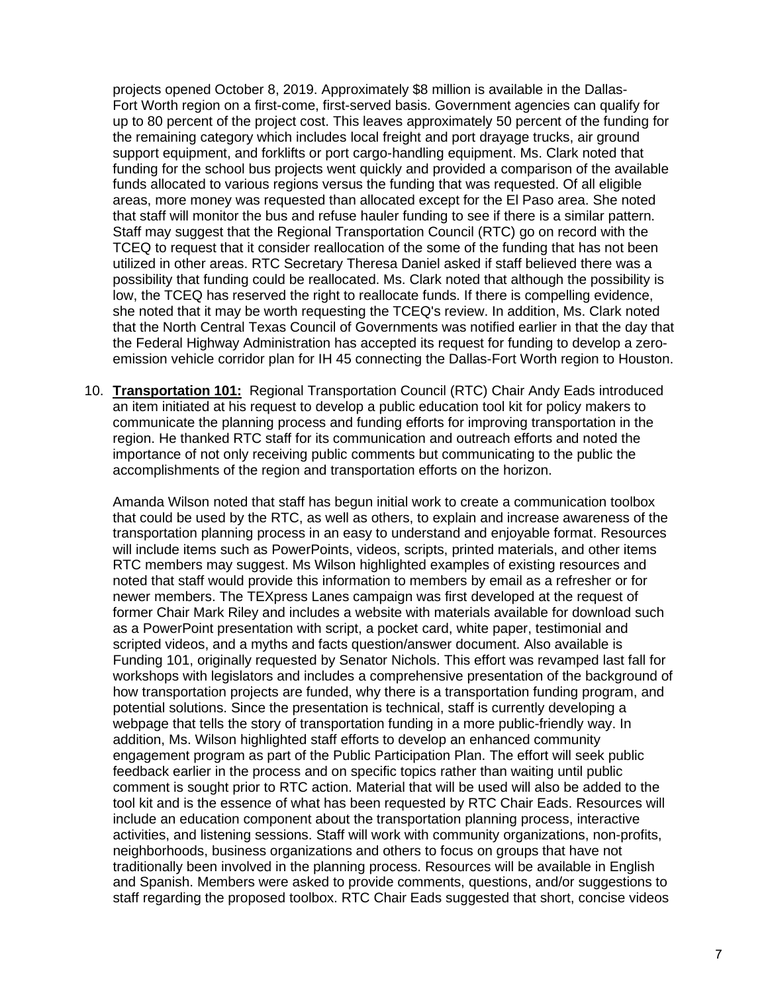projects opened October 8, 2019. Approximately \$8 million is available in the Dallas-Fort Worth region on a first-come, first-served basis. Government agencies can qualify for up to 80 percent of the project cost. This leaves approximately 50 percent of the funding for the remaining category which includes local freight and port drayage trucks, air ground support equipment, and forklifts or port cargo-handling equipment. Ms. Clark noted that funding for the school bus projects went quickly and provided a comparison of the available funds allocated to various regions versus the funding that was requested. Of all eligible areas, more money was requested than allocated except for the El Paso area. She noted that staff will monitor the bus and refuse hauler funding to see if there is a similar pattern. Staff may suggest that the Regional Transportation Council (RTC) go on record with the TCEQ to request that it consider reallocation of the some of the funding that has not been utilized in other areas. RTC Secretary Theresa Daniel asked if staff believed there was a possibility that funding could be reallocated. Ms. Clark noted that although the possibility is low, the TCEQ has reserved the right to reallocate funds. If there is compelling evidence, she noted that it may be worth requesting the TCEQ's review. In addition, Ms. Clark noted that the North Central Texas Council of Governments was notified earlier in that the day that the Federal Highway Administration has accepted its request for funding to develop a zeroemission vehicle corridor plan for IH 45 connecting the Dallas-Fort Worth region to Houston.

10. **Transportation 101:** Regional Transportation Council (RTC) Chair Andy Eads introduced an item initiated at his request to develop a public education tool kit for policy makers to communicate the planning process and funding efforts for improving transportation in the region. He thanked RTC staff for its communication and outreach efforts and noted the importance of not only receiving public comments but communicating to the public the accomplishments of the region and transportation efforts on the horizon.

Amanda Wilson noted that staff has begun initial work to create a communication toolbox that could be used by the RTC, as well as others, to explain and increase awareness of the transportation planning process in an easy to understand and enjoyable format. Resources will include items such as PowerPoints, videos, scripts, printed materials, and other items RTC members may suggest. Ms Wilson highlighted examples of existing resources and noted that staff would provide this information to members by email as a refresher or for newer members. The TEXpress Lanes campaign was first developed at the request of former Chair Mark Riley and includes a website with materials available for download such as a PowerPoint presentation with script, a pocket card, white paper, testimonial and scripted videos, and a myths and facts question/answer document. Also available is Funding 101, originally requested by Senator Nichols. This effort was revamped last fall for workshops with legislators and includes a comprehensive presentation of the background of how transportation projects are funded, why there is a transportation funding program, and potential solutions. Since the presentation is technical, staff is currently developing a webpage that tells the story of transportation funding in a more public-friendly way. In addition, Ms. Wilson highlighted staff efforts to develop an enhanced community engagement program as part of the Public Participation Plan. The effort will seek public feedback earlier in the process and on specific topics rather than waiting until public comment is sought prior to RTC action. Material that will be used will also be added to the tool kit and is the essence of what has been requested by RTC Chair Eads. Resources will include an education component about the transportation planning process, interactive activities, and listening sessions. Staff will work with community organizations, non-profits, neighborhoods, business organizations and others to focus on groups that have not traditionally been involved in the planning process. Resources will be available in English and Spanish. Members were asked to provide comments, questions, and/or suggestions to staff regarding the proposed toolbox. RTC Chair Eads suggested that short, concise videos